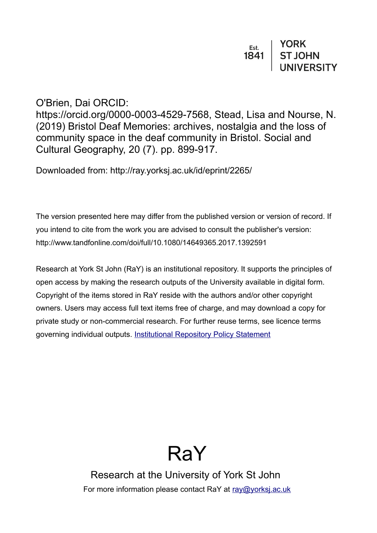### O'Brien, Dai ORCID:

https://orcid.org/0000-0003-4529-7568, Stead, Lisa and Nourse, N. (2019) Bristol Deaf Memories: archives, nostalgia and the loss of community space in the deaf community in Bristol. Social and Cultural Geography, 20 (7). pp. 899-917.

Downloaded from: http://ray.yorksj.ac.uk/id/eprint/2265/

The version presented here may differ from the published version or version of record. If you intend to cite from the work you are advised to consult the publisher's version: http://www.tandfonline.com/doi/full/10.1080/14649365.2017.1392591

Research at York St John (RaY) is an institutional repository. It supports the principles of open access by making the research outputs of the University available in digital form. Copyright of the items stored in RaY reside with the authors and/or other copyright owners. Users may access full text items free of charge, and may download a copy for private study or non-commercial research. For further reuse terms, see licence terms governing individual outputs. [Institutional Repository Policy Statement](https://www.yorksj.ac.uk/ils/repository-policies/)



Research at the University of York St John For more information please contact RaY at [ray@yorksj.ac.uk](mailto:ray@yorksj.ac.uk)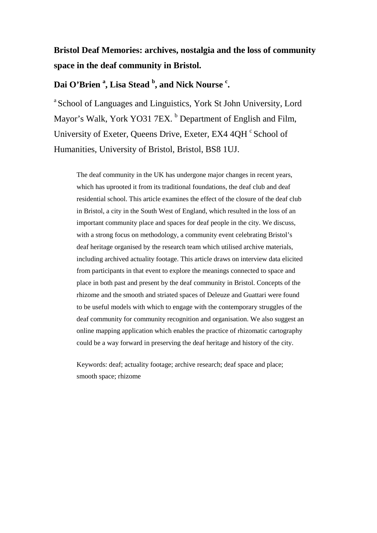## **Bristol Deaf Memories: archives, nostalgia and the loss of community space in the deaf community in Bristol.**

### **Dai O'Brien <sup>a</sup> , Lisa Stead <sup>b</sup> , and Nick Nourse <sup>c</sup> .**

a School of Languages and Linguistics, York St John University, Lord Mayor's Walk, York YO31 7EX. <sup>b</sup> Department of English and Film, University of Exeter, Queens Drive, Exeter, EX4 4QH <sup>c</sup> School of Humanities, University of Bristol, Bristol, BS8 1UJ.

The deaf community in the UK has undergone major changes in recent years, which has uprooted it from its traditional foundations, the deaf club and deaf residential school. This article examines the effect of the closure of the deaf club in Bristol, a city in the South West of England, which resulted in the loss of an important community place and spaces for deaf people in the city. We discuss, with a strong focus on methodology, a community event celebrating Bristol's deaf heritage organised by the research team which utilised archive materials, including archived actuality footage. This article draws on interview data elicited from participants in that event to explore the meanings connected to space and place in both past and present by the deaf community in Bristol. Concepts of the rhizome and the smooth and striated spaces of Deleuze and Guattari were found to be useful models with which to engage with the contemporary struggles of the deaf community for community recognition and organisation. We also suggest an online mapping application which enables the practice of rhizomatic cartography could be a way forward in preserving the deaf heritage and history of the city.

Keywords: deaf; actuality footage; archive research; deaf space and place; smooth space; rhizome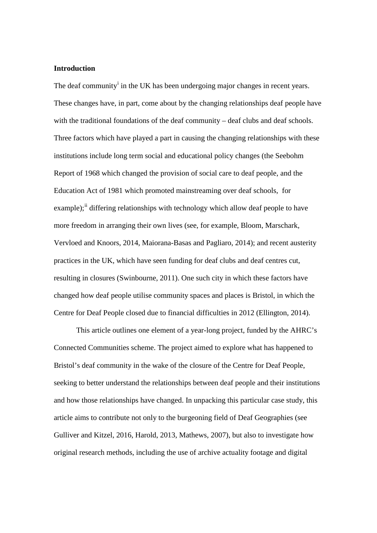#### **Introduction**

The deaf commun[i](#page-37-0)ty<sup>i</sup> in the UK has been undergoing major changes in recent years. These changes have, in part, come about by the changing relationships deaf people have with the traditional foundations of the deaf community – deaf clubs and deaf schools. Three factors which have played a part in causing the changing relationships with these institutions include long term social and educational policy changes (the Seebohm Report of 1968 which changed the provision of social care to deaf people, and the Education Act of 1981 which promoted mainstreaming over deaf schools, for example);<sup>[ii](#page-37-1)</sup> differing relationships with technology which allow deaf people to have more freedom in arranging their own lives (see, for example, Bloom, Marschark, Vervloed and Knoors, 2014, Maiorana-Basas and Pagliaro, 2014); and recent austerity practices in the UK, which have seen funding for deaf clubs and deaf centres cut, resulting in closures (Swinbourne, 2011). One such city in which these factors have changed how deaf people utilise community spaces and places is Bristol, in which the Centre for Deaf People closed due to financial difficulties in 2012 (Ellington, 2014).

This article outlines one element of a year-long project, funded by the AHRC's Connected Communities scheme. The project aimed to explore what has happened to Bristol's deaf community in the wake of the closure of the Centre for Deaf People, seeking to better understand the relationships between deaf people and their institutions and how those relationships have changed. In unpacking this particular case study, this article aims to contribute not only to the burgeoning field of Deaf Geographies (see Gulliver and Kitzel, 2016, Harold, 2013, Mathews, 2007), but also to investigate how original research methods, including the use of archive actuality footage and digital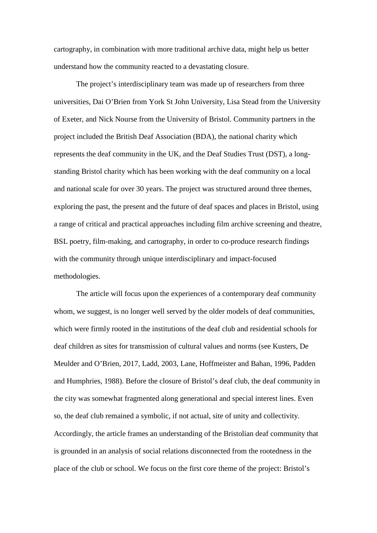cartography, in combination with more traditional archive data, might help us better understand how the community reacted to a devastating closure.

The project's interdisciplinary team was made up of researchers from three universities, Dai O'Brien from York St John University, Lisa Stead from the University of Exeter, and Nick Nourse from the University of Bristol. Community partners in the project included the British Deaf Association (BDA), the national charity which represents the deaf community in the UK, and the Deaf Studies Trust (DST), a longstanding Bristol charity which has been working with the deaf community on a local and national scale for over 30 years. The project was structured around three themes, exploring the past, the present and the future of deaf spaces and places in Bristol, using a range of critical and practical approaches including film archive screening and theatre, BSL poetry, film-making, and cartography, in order to co-produce research findings with the community through unique interdisciplinary and impact-focused methodologies.

The article will focus upon the experiences of a contemporary deaf community whom, we suggest, is no longer well served by the older models of deaf communities, which were firmly rooted in the institutions of the deaf club and residential schools for deaf children as sites for transmission of cultural values and norms (see Kusters, De Meulder and O'Brien, 2017, Ladd, 2003, Lane, Hoffmeister and Bahan, 1996, Padden and Humphries, 1988). Before the closure of Bristol's deaf club, the deaf community in the city was somewhat fragmented along generational and special interest lines. Even so, the deaf club remained a symbolic, if not actual, site of unity and collectivity. Accordingly, the article frames an understanding of the Bristolian deaf community that is grounded in an analysis of social relations disconnected from the rootedness in the place of the club or school. We focus on the first core theme of the project: Bristol's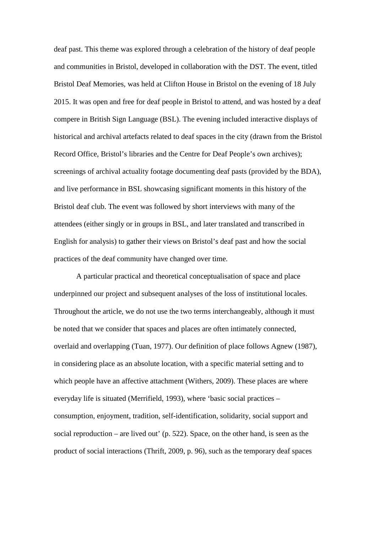deaf past. This theme was explored through a celebration of the history of deaf people and communities in Bristol, developed in collaboration with the DST. The event, titled Bristol Deaf Memories, was held at Clifton House in Bristol on the evening of 18 July 2015. It was open and free for deaf people in Bristol to attend, and was hosted by a deaf compere in British Sign Language (BSL). The evening included interactive displays of historical and archival artefacts related to deaf spaces in the city (drawn from the Bristol Record Office, Bristol's libraries and the Centre for Deaf People's own archives); screenings of archival actuality footage documenting deaf pasts (provided by the BDA), and live performance in BSL showcasing significant moments in this history of the Bristol deaf club. The event was followed by short interviews with many of the attendees (either singly or in groups in BSL, and later translated and transcribed in English for analysis) to gather their views on Bristol's deaf past and how the social practices of the deaf community have changed over time.

A particular practical and theoretical conceptualisation of space and place underpinned our project and subsequent analyses of the loss of institutional locales. Throughout the article, we do not use the two terms interchangeably, although it must be noted that we consider that spaces and places are often intimately connected, overlaid and overlapping (Tuan, 1977). Our definition of place follows Agnew (1987), in considering place as an absolute location, with a specific material setting and to which people have an affective attachment (Withers, 2009). These places are where everyday life is situated (Merrifield, 1993), where 'basic social practices – consumption, enjoyment, tradition, self-identification, solidarity, social support and social reproduction – are lived out' (p. 522). Space, on the other hand, is seen as the product of social interactions (Thrift, 2009, p. 96), such as the temporary deaf spaces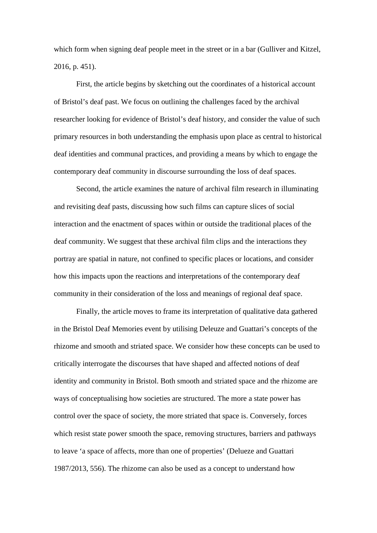which form when signing deaf people meet in the street or in a bar (Gulliver and Kitzel, 2016, p. 451).

First, the article begins by sketching out the coordinates of a historical account of Bristol's deaf past. We focus on outlining the challenges faced by the archival researcher looking for evidence of Bristol's deaf history, and consider the value of such primary resources in both understanding the emphasis upon place as central to historical deaf identities and communal practices, and providing a means by which to engage the contemporary deaf community in discourse surrounding the loss of deaf spaces.

Second, the article examines the nature of archival film research in illuminating and revisiting deaf pasts, discussing how such films can capture slices of social interaction and the enactment of spaces within or outside the traditional places of the deaf community. We suggest that these archival film clips and the interactions they portray are spatial in nature, not confined to specific places or locations, and consider how this impacts upon the reactions and interpretations of the contemporary deaf community in their consideration of the loss and meanings of regional deaf space.

Finally, the article moves to frame its interpretation of qualitative data gathered in the Bristol Deaf Memories event by utilising Deleuze and Guattari's concepts of the rhizome and smooth and striated space. We consider how these concepts can be used to critically interrogate the discourses that have shaped and affected notions of deaf identity and community in Bristol. Both smooth and striated space and the rhizome are ways of conceptualising how societies are structured. The more a state power has control over the space of society, the more striated that space is. Conversely, forces which resist state power smooth the space, removing structures, barriers and pathways to leave 'a space of affects, more than one of properties' (Delueze and Guattari 1987/2013, 556). The rhizome can also be used as a concept to understand how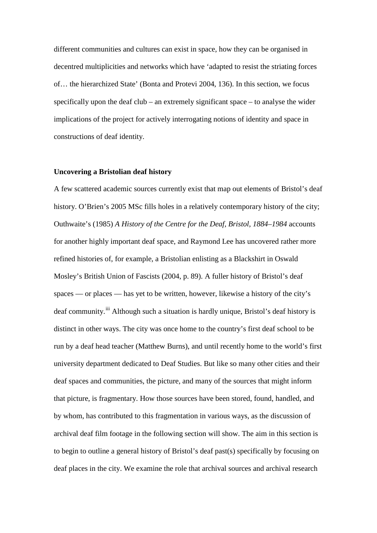different communities and cultures can exist in space, how they can be organised in decentred multiplicities and networks which have 'adapted to resist the striating forces of… the hierarchized State' (Bonta and Protevi 2004, 136). In this section, we focus specifically upon the deaf club – an extremely significant space – to analyse the wider implications of the project for actively interrogating notions of identity and space in constructions of deaf identity.

#### **Uncovering a Bristolian deaf history**

A few scattered academic sources currently exist that map out elements of Bristol's deaf history. O'Brien's 2005 MSc fills holes in a relatively contemporary history of the city; Outhwaite's (1985) *A History of the Centre for the Deaf, Bristol, 1884–1984* accounts for another highly important deaf space, and Raymond Lee has uncovered rather more refined histories of, for example, a Bristolian enlisting as a Blackshirt in Oswald Mosley's British Union of Fascists (2004, p. 89). A fuller history of Bristol's deaf spaces — or places — has yet to be written, however, likewise a history of the city's deaf community.<sup>[iii](#page-37-2)</sup> Although such a situation is hardly unique, Bristol's deaf history is distinct in other ways. The city was once home to the country's first deaf school to be run by a deaf head teacher (Matthew Burns), and until recently home to the world's first university department dedicated to Deaf Studies. But like so many other cities and their deaf spaces and communities, the picture, and many of the sources that might inform that picture, is fragmentary. How those sources have been stored, found, handled, and by whom, has contributed to this fragmentation in various ways, as the discussion of archival deaf film footage in the following section will show. The aim in this section is to begin to outline a general history of Bristol's deaf past(s) specifically by focusing on deaf places in the city. We examine the role that archival sources and archival research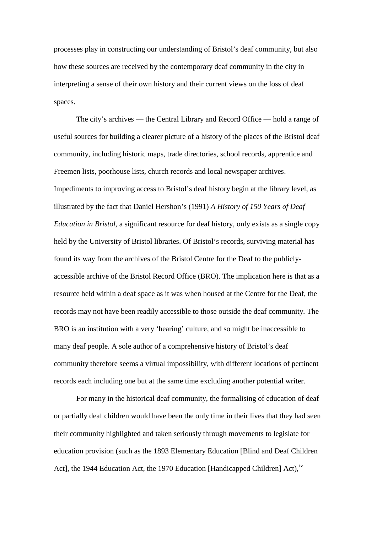processes play in constructing our understanding of Bristol's deaf community, but also how these sources are received by the contemporary deaf community in the city in interpreting a sense of their own history and their current views on the loss of deaf spaces.

The city's archives — the Central Library and Record Office — hold a range of useful sources for building a clearer picture of a history of the places of the Bristol deaf community, including historic maps, trade directories, school records, apprentice and Freemen lists, poorhouse lists, church records and local newspaper archives. Impediments to improving access to Bristol's deaf history begin at the library level, as illustrated by the fact that Daniel Hershon's (1991) *A History of 150 Years of Deaf Education in Bristol,* a significant resource for deaf history*,* only exists as a single copy held by the University of Bristol libraries. Of Bristol's records, surviving material has found its way from the archives of the Bristol Centre for the Deaf to the publiclyaccessible archive of the Bristol Record Office (BRO). The implication here is that as a resource held within a deaf space as it was when housed at the Centre for the Deaf, the records may not have been readily accessible to those outside the deaf community. The BRO is an institution with a very 'hearing' culture, and so might be inaccessible to many deaf people. A sole author of a comprehensive history of Bristol's deaf community therefore seems a virtual impossibility, with different locations of pertinent records each including one but at the same time excluding another potential writer.

For many in the historical deaf community, the formalising of education of deaf or partially deaf children would have been the only time in their lives that they had seen their community highlighted and taken seriously through movements to legislate for education provision (such as the 1893 Elementary Education [Blind and Deaf Children Act], the 1944 Education Act, the 1970 Education [Handicapped Children] Act),<sup>[iv](#page-37-3)</sup>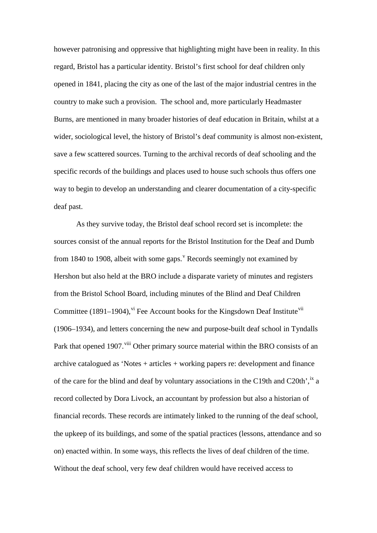however patronising and oppressive that highlighting might have been in reality. In this regard, Bristol has a particular identity. Bristol's first school for deaf children only opened in 1841, placing the city as one of the last of the major industrial centres in the country to make such a provision. The school and, more particularly Headmaster Burns, are mentioned in many broader histories of deaf education in Britain, whilst at a wider, sociological level, the history of Bristol's deaf community is almost non-existent, save a few scattered sources. Turning to the archival records of deaf schooling and the specific records of the buildings and places used to house such schools thus offers one way to begin to develop an understanding and clearer documentation of a city-specific deaf past.

As they survive today, the Bristol deaf school record set is incomplete: the sources consist of the annual reports for the Bristol Institution for the Deaf and Dumb from 1840 to 1908, albeit with some gaps.<sup> $v$ </sup> Records seemingly not examined by Hershon but also held at the BRO include a disparate variety of minutes and registers from the Bristol School Board, including minutes of the Blind and Deaf Children Committee (1891–1904),  $\overline{v}$  Fee Account books for the Kingsdown Deaf Institute  $\overline{v}$  ii (1906–1934), and letters concerning the new and purpose-built deaf school in Tyndalls Park that opened 1907.<sup>[viii](#page-38-3)</sup> Other primary source material within the BRO consists of an archive catalogued as 'Notes + articles + working papers re: development and finance of the care for the blind and deaf by voluntary associations in the C19th and C20th',  $\frac{1}{1}$  a record collected by Dora Livock, an accountant by profession but also a historian of financial records. These records are intimately linked to the running of the deaf school, the upkeep of its buildings, and some of the spatial practices (lessons, attendance and so on) enacted within. In some ways, this reflects the lives of deaf children of the time. Without the deaf school, very few deaf children would have received access to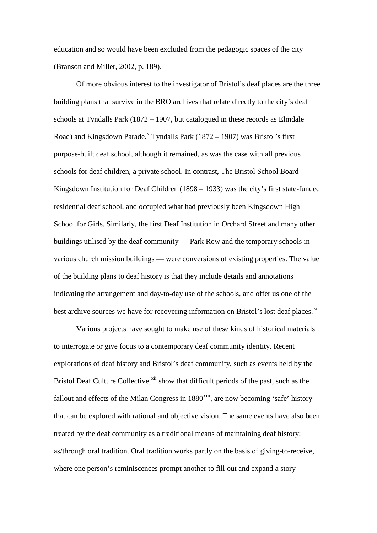education and so would have been excluded from the pedagogic spaces of the city (Branson and Miller, 2002, p. 189).

Of more obvious interest to the investigator of Bristol's deaf places are the three building plans that survive in the BRO archives that relate directly to the city's deaf schools at Tyndalls Park (1872 – 1907, but catalogued in these records as Elmdale Road) and Kingsdown Parade.<sup>[x](#page-38-5)</sup> Tyndalls Park (1872 – 1907) was Bristol's first purpose-built deaf school, although it remained, as was the case with all previous schools for deaf children, a private school. In contrast, The Bristol School Board Kingsdown Institution for Deaf Children (1898 – 1933) was the city's first state-funded residential deaf school, and occupied what had previously been Kingsdown High School for Girls. Similarly, the first Deaf Institution in Orchard Street and many other buildings utilised by the deaf community — Park Row and the temporary schools in various church mission buildings — were conversions of existing properties. The value of the building plans to deaf history is that they include details and annotations indicating the arrangement and day-to-day use of the schools, and offer us one of the best archive sources we have for recovering information on Bristol's lost deaf places.<sup>[xi](#page-38-6)</sup>

Various projects have sought to make use of these kinds of historical materials to interrogate or give focus to a contemporary deaf community identity. Recent explorations of deaf history and Bristol's deaf community, such as events held by the Bristol Deaf Culture Collective,<sup>[xii](#page-38-7)</sup> show that difficult periods of the past, such as the fallout and effects of the Milan Congress in  $1880<sup>xiii</sup>$  $1880<sup>xiii</sup>$  $1880<sup>xiii</sup>$ , are now becoming 'safe' history that can be explored with rational and objective vision. The same events have also been treated by the deaf community as a traditional means of maintaining deaf history: as/through oral tradition. Oral tradition works partly on the basis of giving-to-receive, where one person's reminiscences prompt another to fill out and expand a story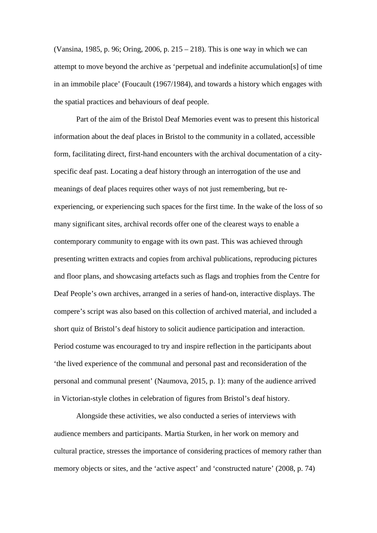(Vansina, 1985, p. 96; Oring, 2006, p. 215 – 218). This is one way in which we can attempt to move beyond the archive as 'perpetual and indefinite accumulation[s] of time in an immobile place' (Foucault (1967/1984), and towards a history which engages with the spatial practices and behaviours of deaf people.

Part of the aim of the Bristol Deaf Memories event was to present this historical information about the deaf places in Bristol to the community in a collated, accessible form, facilitating direct, first-hand encounters with the archival documentation of a cityspecific deaf past. Locating a deaf history through an interrogation of the use and meanings of deaf places requires other ways of not just remembering, but reexperiencing, or experiencing such spaces for the first time. In the wake of the loss of so many significant sites, archival records offer one of the clearest ways to enable a contemporary community to engage with its own past. This was achieved through presenting written extracts and copies from archival publications, reproducing pictures and floor plans, and showcasing artefacts such as flags and trophies from the Centre for Deaf People's own archives, arranged in a series of hand-on, interactive displays. The compere's script was also based on this collection of archived material, and included a short quiz of Bristol's deaf history to solicit audience participation and interaction. Period costume was encouraged to try and inspire reflection in the participants about 'the lived experience of the communal and personal past and reconsideration of the personal and communal present' (Naumova, 2015, p. 1): many of the audience arrived in Victorian-style clothes in celebration of figures from Bristol's deaf history.

Alongside these activities, we also conducted a series of interviews with audience members and participants. Martia Sturken, in her work on memory and cultural practice, stresses the importance of considering practices of memory rather than memory objects or sites, and the 'active aspect' and 'constructed nature' (2008, p. 74)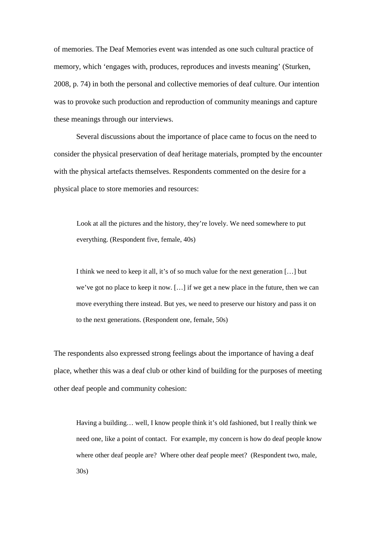of memories. The Deaf Memories event was intended as one such cultural practice of memory, which 'engages with, produces, reproduces and invests meaning' (Sturken, 2008, p. 74) in both the personal and collective memories of deaf culture. Our intention was to provoke such production and reproduction of community meanings and capture these meanings through our interviews.

Several discussions about the importance of place came to focus on the need to consider the physical preservation of deaf heritage materials, prompted by the encounter with the physical artefacts themselves. Respondents commented on the desire for a physical place to store memories and resources:

Look at all the pictures and the history, they're lovely. We need somewhere to put everything. (Respondent five, female, 40s)

I think we need to keep it all, it's of so much value for the next generation […] but we've got no place to keep it now. […] if we get a new place in the future, then we can move everything there instead. But yes, we need to preserve our history and pass it on to the next generations. (Respondent one, female, 50s)

The respondents also expressed strong feelings about the importance of having a deaf place, whether this was a deaf club or other kind of building for the purposes of meeting other deaf people and community cohesion:

Having a building… well, I know people think it's old fashioned, but I really think we need one, like a point of contact. For example, my concern is how do deaf people know where other deaf people are? Where other deaf people meet? (Respondent two, male, 30s)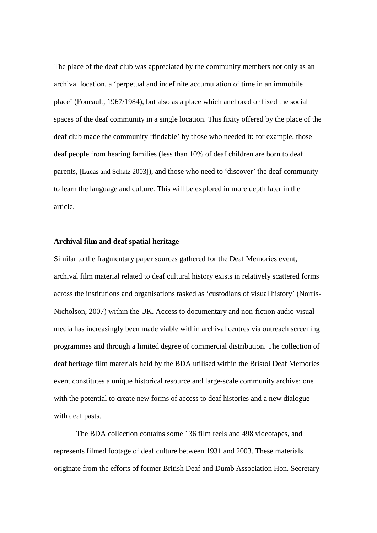The place of the deaf club was appreciated by the community members not only as an archival location, a 'perpetual and indefinite accumulation of time in an immobile place' (Foucault, 1967/1984), but also as a place which anchored or fixed the social spaces of the deaf community in a single location. This fixity offered by the place of the deaf club made the community 'findable' by those who needed it: for example, those deaf people from hearing families (less than 10% of deaf children are born to deaf parents, [Lucas and Schatz 2003]), and those who need to 'discover' the deaf community to learn the language and culture. This will be explored in more depth later in the article.

#### **Archival film and deaf spatial heritage**

Similar to the fragmentary paper sources gathered for the Deaf Memories event, archival film material related to deaf cultural history exists in relatively scattered forms across the institutions and organisations tasked as 'custodians of visual history' (Norris-Nicholson, 2007) within the UK. Access to documentary and non-fiction audio-visual media has increasingly been made viable within archival centres via outreach screening programmes and through a limited degree of commercial distribution. The collection of deaf heritage film materials held by the BDA utilised within the Bristol Deaf Memories event constitutes a unique historical resource and large-scale community archive: one with the potential to create new forms of access to deaf histories and a new dialogue with deaf pasts.

The BDA collection contains some 136 film reels and 498 videotapes, and represents filmed footage of deaf culture between 1931 and 2003. These materials originate from the efforts of former British Deaf and Dumb Association Hon. Secretary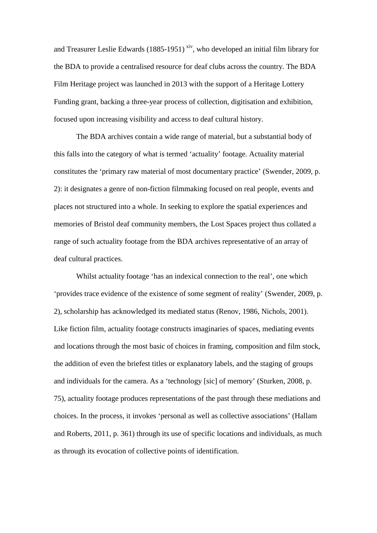and Treasurer Leslie Edwards  $(1885-1951)$  [xiv](#page-38-9), who developed an initial film library for the BDA to provide a centralised resource for deaf clubs across the country. The BDA Film Heritage project was launched in 2013 with the support of a Heritage Lottery Funding grant, backing a three-year process of collection, digitisation and exhibition, focused upon increasing visibility and access to deaf cultural history.

The BDA archives contain a wide range of material, but a substantial body of this falls into the category of what is termed 'actuality' footage. Actuality material constitutes the 'primary raw material of most documentary practice' (Swender, 2009, p. 2): it designates a genre of non-fiction filmmaking focused on real people, events and places not structured into a whole. In seeking to explore the spatial experiences and memories of Bristol deaf community members, the Lost Spaces project thus collated a range of such actuality footage from the BDA archives representative of an array of deaf cultural practices.

Whilst actuality footage 'has an indexical connection to the real', one which 'provides trace evidence of the existence of some segment of reality' (Swender, 2009, p. 2), scholarship has acknowledged its mediated status (Renov, 1986, Nichols, 2001). Like fiction film, actuality footage constructs imaginaries of spaces, mediating events and locations through the most basic of choices in framing, composition and film stock, the addition of even the briefest titles or explanatory labels, and the staging of groups and individuals for the camera. As a 'technology [sic] of memory' (Sturken, 2008, p. 75), actuality footage produces representations of the past through these mediations and choices. In the process, it invokes 'personal as well as collective associations' (Hallam and Roberts, 2011, p. 361) through its use of specific locations and individuals, as much as through its evocation of collective points of identification.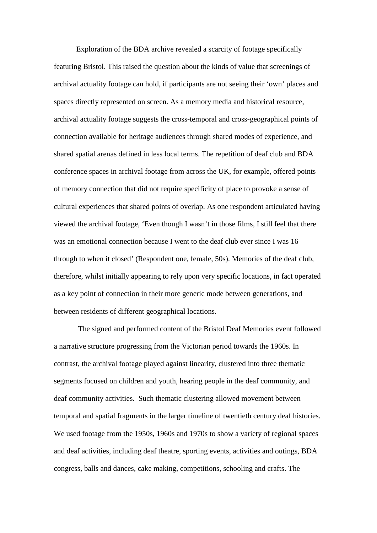Exploration of the BDA archive revealed a scarcity of footage specifically featuring Bristol. This raised the question about the kinds of value that screenings of archival actuality footage can hold, if participants are not seeing their 'own' places and spaces directly represented on screen. As a memory media and historical resource, archival actuality footage suggests the cross-temporal and cross-geographical points of connection available for heritage audiences through shared modes of experience, and shared spatial arenas defined in less local terms. The repetition of deaf club and BDA conference spaces in archival footage from across the UK, for example, offered points of memory connection that did not require specificity of place to provoke a sense of cultural experiences that shared points of overlap. As one respondent articulated having viewed the archival footage, 'Even though I wasn't in those films, I still feel that there was an emotional connection because I went to the deaf club ever since I was 16 through to when it closed' (Respondent one, female, 50s). Memories of the deaf club, therefore, whilst initially appearing to rely upon very specific locations, in fact operated as a key point of connection in their more generic mode between generations, and between residents of different geographical locations.

The signed and performed content of the Bristol Deaf Memories event followed a narrative structure progressing from the Victorian period towards the 1960s. In contrast, the archival footage played against linearity, clustered into three thematic segments focused on children and youth, hearing people in the deaf community, and deaf community activities. Such thematic clustering allowed movement between temporal and spatial fragments in the larger timeline of twentieth century deaf histories. We used footage from the 1950s, 1960s and 1970s to show a variety of regional spaces and deaf activities, including deaf theatre, sporting events, activities and outings, BDA congress, balls and dances, cake making, competitions, schooling and crafts. The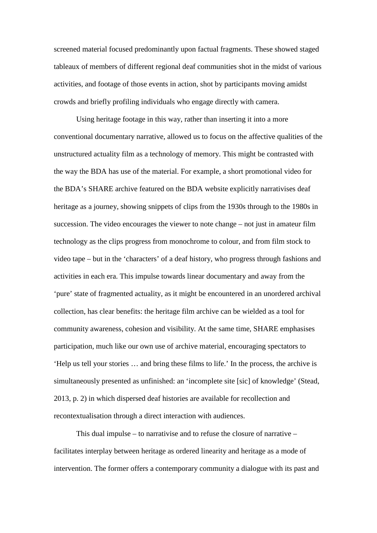screened material focused predominantly upon factual fragments. These showed staged tableaux of members of different regional deaf communities shot in the midst of various activities, and footage of those events in action, shot by participants moving amidst crowds and briefly profiling individuals who engage directly with camera.

Using heritage footage in this way, rather than inserting it into a more conventional documentary narrative, allowed us to focus on the affective qualities of the unstructured actuality film as a technology of memory. This might be contrasted with the way the BDA has use of the material. For example, a short promotional video for the BDA's SHARE archive featured on the BDA website explicitly narrativises deaf heritage as a journey, showing snippets of clips from the 1930s through to the 1980s in succession. The video encourages the viewer to note change – not just in amateur film technology as the clips progress from monochrome to colour, and from film stock to video tape – but in the 'characters' of a deaf history, who progress through fashions and activities in each era. This impulse towards linear documentary and away from the 'pure' state of fragmented actuality, as it might be encountered in an unordered archival collection, has clear benefits: the heritage film archive can be wielded as a tool for community awareness, cohesion and visibility. At the same time, SHARE emphasises participation, much like our own use of archive material, encouraging spectators to 'Help us tell your stories … and bring these films to life.' In the process, the archive is simultaneously presented as unfinished: an 'incomplete site [sic] of knowledge' (Stead, 2013, p. 2) in which dispersed deaf histories are available for recollection and recontextualisation through a direct interaction with audiences.

This dual impulse – to narrativise and to refuse the closure of narrative – facilitates interplay between heritage as ordered linearity and heritage as a mode of intervention. The former offers a contemporary community a dialogue with its past and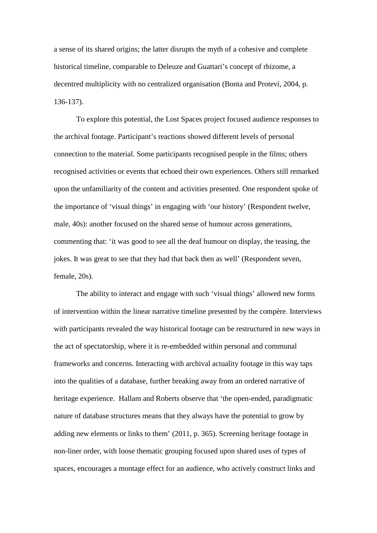a sense of its shared origins; the latter disrupts the myth of a cohesive and complete historical timeline, comparable to Deleuze and Guattari's concept of rhizome, a decentred multiplicity with no centralized organisation (Bonta and Protevi, 2004, p. 136-137).

To explore this potential, the Lost Spaces project focused audience responses to the archival footage. Participant's reactions showed different levels of personal connection to the material. Some participants recognised people in the films; others recognised activities or events that echoed their own experiences. Others still remarked upon the unfamiliarity of the content and activities presented. One respondent spoke of the importance of 'visual things' in engaging with 'our history' (Respondent twelve, male, 40s): another focused on the shared sense of humour across generations, commenting that: 'it was good to see all the deaf humour on display, the teasing, the jokes. It was great to see that they had that back then as well' (Respondent seven, female, 20s).

The ability to interact and engage with such 'visual things' allowed new forms of intervention within the linear narrative timeline presented by the compère. Interviews with participants revealed the way historical footage can be restructured in new ways in the act of spectatorship, where it is re-embedded within personal and communal frameworks and concerns. Interacting with archival actuality footage in this way taps into the qualities of a database, further breaking away from an ordered narrative of heritage experience. Hallam and Roberts observe that 'the open-ended, paradigmatic nature of database structures means that they always have the potential to grow by adding new elements or links to them' (2011, p. 365). Screening heritage footage in non-liner order, with loose thematic grouping focused upon shared uses of types of spaces, encourages a montage effect for an audience, who actively construct links and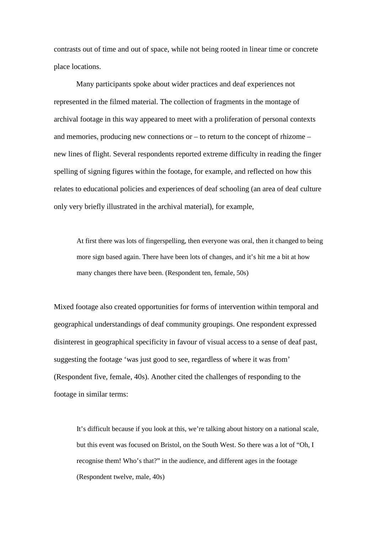contrasts out of time and out of space, while not being rooted in linear time or concrete place locations.

Many participants spoke about wider practices and deaf experiences not represented in the filmed material. The collection of fragments in the montage of archival footage in this way appeared to meet with a proliferation of personal contexts and memories, producing new connections or – to return to the concept of rhizome – new lines of flight. Several respondents reported extreme difficulty in reading the finger spelling of signing figures within the footage, for example, and reflected on how this relates to educational policies and experiences of deaf schooling (an area of deaf culture only very briefly illustrated in the archival material), for example,

At first there was lots of fingerspelling, then everyone was oral, then it changed to being more sign based again. There have been lots of changes, and it's hit me a bit at how many changes there have been. (Respondent ten, female, 50s)

Mixed footage also created opportunities for forms of intervention within temporal and geographical understandings of deaf community groupings. One respondent expressed disinterest in geographical specificity in favour of visual access to a sense of deaf past, suggesting the footage 'was just good to see, regardless of where it was from' (Respondent five, female, 40s). Another cited the challenges of responding to the footage in similar terms:

It's difficult because if you look at this, we're talking about history on a national scale, but this event was focused on Bristol, on the South West. So there was a lot of "Oh, I recognise them! Who's that?" in the audience, and different ages in the footage (Respondent twelve, male, 40s)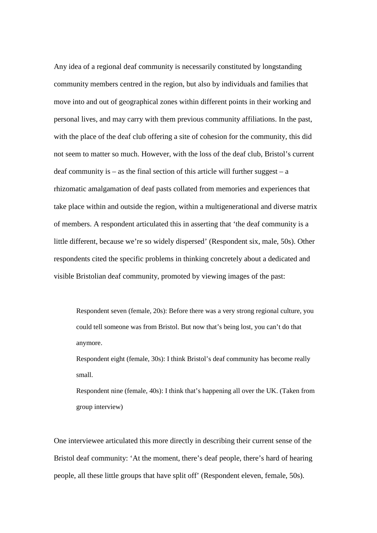Any idea of a regional deaf community is necessarily constituted by longstanding community members centred in the region, but also by individuals and families that move into and out of geographical zones within different points in their working and personal lives, and may carry with them previous community affiliations. In the past, with the place of the deaf club offering a site of cohesion for the community, this did not seem to matter so much. However, with the loss of the deaf club, Bristol's current deaf community is – as the final section of this article will further suggest –  $a$ rhizomatic amalgamation of deaf pasts collated from memories and experiences that take place within and outside the region, within a multigenerational and diverse matrix of members. A respondent articulated this in asserting that 'the deaf community is a little different, because we're so widely dispersed' (Respondent six, male, 50s). Other respondents cited the specific problems in thinking concretely about a dedicated and visible Bristolian deaf community, promoted by viewing images of the past:

Respondent seven (female, 20s): Before there was a very strong regional culture, you could tell someone was from Bristol. But now that's being lost, you can't do that anymore.

Respondent eight (female, 30s): I think Bristol's deaf community has become really small.

Respondent nine (female, 40s): I think that's happening all over the UK. (Taken from group interview)

One interviewee articulated this more directly in describing their current sense of the Bristol deaf community: 'At the moment, there's deaf people, there's hard of hearing people, all these little groups that have split off' (Respondent eleven, female, 50s).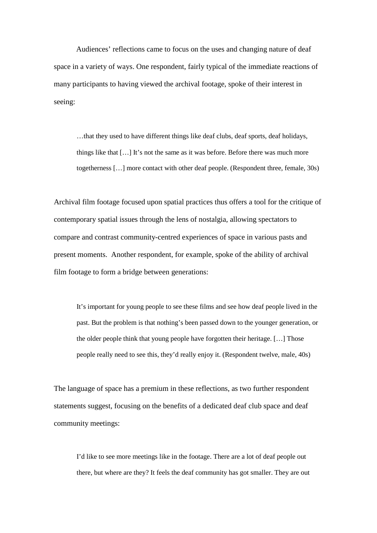Audiences' reflections came to focus on the uses and changing nature of deaf space in a variety of ways. One respondent, fairly typical of the immediate reactions of many participants to having viewed the archival footage, spoke of their interest in seeing:

…that they used to have different things like deaf clubs, deaf sports, deaf holidays, things like that […] It's not the same as it was before. Before there was much more togetherness […] more contact with other deaf people. (Respondent three, female, 30s)

Archival film footage focused upon spatial practices thus offers a tool for the critique of contemporary spatial issues through the lens of nostalgia, allowing spectators to compare and contrast community-centred experiences of space in various pasts and present moments. Another respondent, for example, spoke of the ability of archival film footage to form a bridge between generations:

It's important for young people to see these films and see how deaf people lived in the past. But the problem is that nothing's been passed down to the younger generation, or the older people think that young people have forgotten their heritage. […] Those people really need to see this, they'd really enjoy it. (Respondent twelve, male, 40s)

The language of space has a premium in these reflections, as two further respondent statements suggest, focusing on the benefits of a dedicated deaf club space and deaf community meetings:

I'd like to see more meetings like in the footage. There are a lot of deaf people out there, but where are they? It feels the deaf community has got smaller. They are out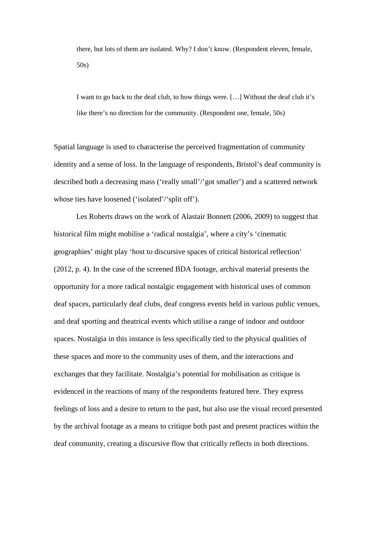there, but lots of them are isolated. Why? I don't know. (Respondent eleven, female, 50s)

I want to go back to the deaf club, to how things were. […] Without the deaf club it's like there's no direction for the community. (Respondent one, female, 50s)

Spatial language is used to characterise the perceived fragmentation of community identity and a sense of loss. In the language of respondents, Bristol's deaf community is described both a decreasing mass ('really small'/'got smaller') and a scattered network whose ties have loosened ('isolated'/'split off').

Les Roberts draws on the work of Alastair Bonnett (2006, 2009) to suggest that historical film might mobilise a 'radical nostalgia', where a city's 'cinematic geographies' might play 'host to discursive spaces of critical historical reflection' (2012, p. 4). In the case of the screened BDA footage, archival material presents the opportunity for a more radical nostalgic engagement with historical uses of common deaf spaces, particularly deaf clubs, deaf congress events held in various public venues, and deaf sporting and theatrical events which utilise a range of indoor and outdoor spaces. Nostalgia in this instance is less specifically tied to the physical qualities of these spaces and more to the community uses of them, and the interactions and exchanges that they facilitate. Nostalgia's potential for mobilisation as critique is evidenced in the reactions of many of the respondents featured here. They express feelings of loss and a desire to return to the past, but also use the visual record presented by the archival footage as a means to critique both past and present practices within the deaf community, creating a discursive flow that critically reflects in both directions.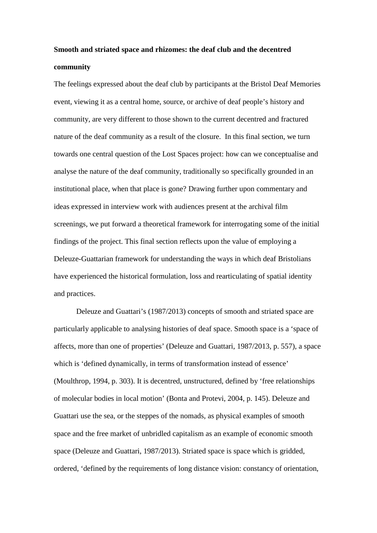# **Smooth and striated space and rhizomes: the deaf club and the decentred community**

The feelings expressed about the deaf club by participants at the Bristol Deaf Memories event, viewing it as a central home, source, or archive of deaf people's history and community, are very different to those shown to the current decentred and fractured nature of the deaf community as a result of the closure. In this final section, we turn towards one central question of the Lost Spaces project: how can we conceptualise and analyse the nature of the deaf community, traditionally so specifically grounded in an institutional place, when that place is gone? Drawing further upon commentary and ideas expressed in interview work with audiences present at the archival film screenings, we put forward a theoretical framework for interrogating some of the initial findings of the project. This final section reflects upon the value of employing a Deleuze-Guattarian framework for understanding the ways in which deaf Bristolians have experienced the historical formulation, loss and rearticulating of spatial identity and practices.

Deleuze and Guattari's (1987/2013) concepts of smooth and striated space are particularly applicable to analysing histories of deaf space. Smooth space is a 'space of affects, more than one of properties' (Deleuze and Guattari, 1987/2013, p. 557), a space which is 'defined dynamically, in terms of transformation instead of essence' (Moulthrop, 1994, p. 303). It is decentred, unstructured, defined by 'free relationships of molecular bodies in local motion' (Bonta and Protevi, 2004, p. 145). Deleuze and Guattari use the sea, or the steppes of the nomads, as physical examples of smooth space and the free market of unbridled capitalism as an example of economic smooth space (Deleuze and Guattari, 1987/2013). Striated space is space which is gridded, ordered, 'defined by the requirements of long distance vision: constancy of orientation,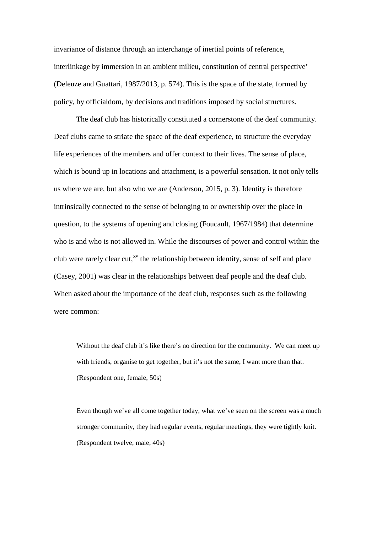invariance of distance through an interchange of inertial points of reference, interlinkage by immersion in an ambient milieu, constitution of central perspective' (Deleuze and Guattari, 1987/2013, p. 574). This is the space of the state, formed by policy, by officialdom, by decisions and traditions imposed by social structures.

The deaf club has historically constituted a cornerstone of the deaf community. Deaf clubs came to striate the space of the deaf experience, to structure the everyday life experiences of the members and offer context to their lives. The sense of place, which is bound up in locations and attachment, is a powerful sensation. It not only tells us where we are, but also who we are (Anderson, 2015, p. 3). Identity is therefore intrinsically connected to the sense of belonging to or ownership over the place in question, to the systems of opening and closing (Foucault, 1967/1984) that determine who is and who is not allowed in. While the discourses of power and control within the club were rarely clear cut,<sup>[xv](#page-38-10)</sup> the relationship between identity, sense of self and place (Casey, 2001) was clear in the relationships between deaf people and the deaf club. When asked about the importance of the deaf club, responses such as the following were common:

Without the deaf club it's like there's no direction for the community. We can meet up with friends, organise to get together, but it's not the same, I want more than that. (Respondent one, female, 50s)

Even though we've all come together today, what we've seen on the screen was a much stronger community, they had regular events, regular meetings, they were tightly knit. (Respondent twelve, male, 40s)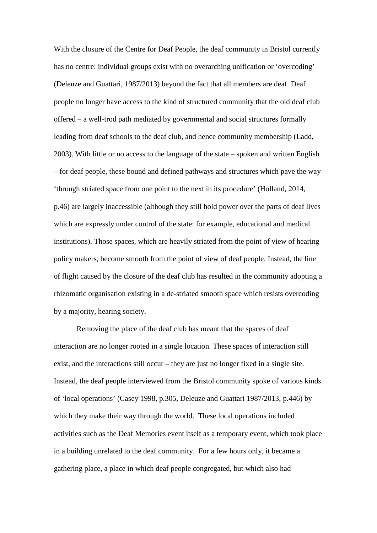With the closure of the Centre for Deaf People, the deaf community in Bristol currently has no centre: individual groups exist with no overarching unification or 'overcoding' (Deleuze and Guattari, 1987/2013) beyond the fact that all members are deaf. Deaf people no longer have access to the kind of structured community that the old deaf club offered – a well-trod path mediated by governmental and social structures formally leading from deaf schools to the deaf club, and hence community membership (Ladd, 2003). With little or no access to the language of the state – spoken and written English – for deaf people, these bound and defined pathways and structures which pave the way 'through striated space from one point to the next in its procedure' (Holland, 2014, p.46) are largely inaccessible (although they still hold power over the parts of deaf lives which are expressly under control of the state: for example, educational and medical institutions). Those spaces, which are heavily striated from the point of view of hearing policy makers, become smooth from the point of view of deaf people. Instead, the line of flight caused by the closure of the deaf club has resulted in the community adopting a rhizomatic organisation existing in a de-striated smooth space which resists overcoding by a majority, hearing society.

Removing the place of the deaf club has meant that the spaces of deaf interaction are no longer rooted in a single location. These spaces of interaction still exist, and the interactions still occur – they are just no longer fixed in a single site. Instead, the deaf people interviewed from the Bristol community spoke of various kinds of 'local operations' (Casey 1998, p.305, Deleuze and Guattari 1987/2013, p.446) by which they make their way through the world. These local operations included activities such as the Deaf Memories event itself as a temporary event, which took place in a building unrelated to the deaf community. For a few hours only, it became a gathering place, a place in which deaf people congregated, but which also had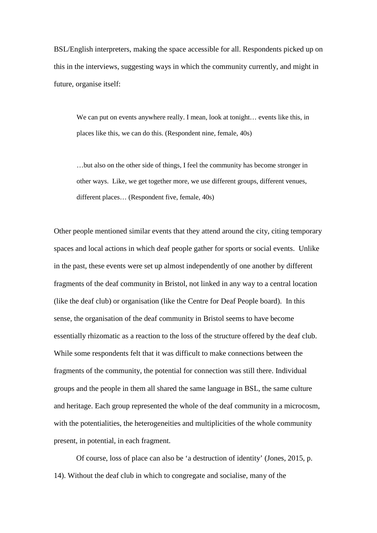BSL/English interpreters, making the space accessible for all. Respondents picked up on this in the interviews, suggesting ways in which the community currently, and might in future, organise itself:

We can put on events anywhere really. I mean, look at tonight... events like this, in places like this, we can do this. (Respondent nine, female, 40s)

…but also on the other side of things, I feel the community has become stronger in other ways. Like, we get together more, we use different groups, different venues, different places… (Respondent five, female, 40s)

Other people mentioned similar events that they attend around the city, citing temporary spaces and local actions in which deaf people gather for sports or social events. Unlike in the past, these events were set up almost independently of one another by different fragments of the deaf community in Bristol, not linked in any way to a central location (like the deaf club) or organisation (like the Centre for Deaf People board). In this sense, the organisation of the deaf community in Bristol seems to have become essentially rhizomatic as a reaction to the loss of the structure offered by the deaf club. While some respondents felt that it was difficult to make connections between the fragments of the community, the potential for connection was still there. Individual groups and the people in them all shared the same language in BSL, the same culture and heritage. Each group represented the whole of the deaf community in a microcosm, with the potentialities, the heterogeneities and multiplicities of the whole community present, in potential, in each fragment.

Of course, loss of place can also be 'a destruction of identity' (Jones, 2015, p. 14). Without the deaf club in which to congregate and socialise, many of the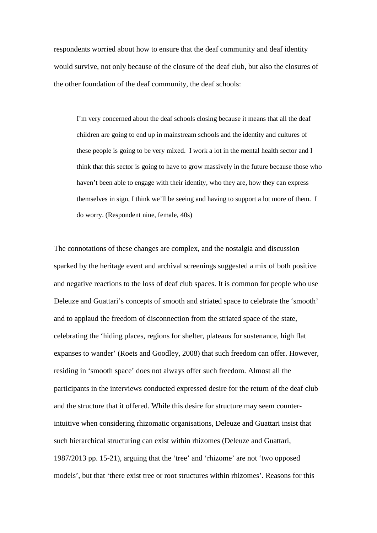respondents worried about how to ensure that the deaf community and deaf identity would survive, not only because of the closure of the deaf club, but also the closures of the other foundation of the deaf community, the deaf schools:

I'm very concerned about the deaf schools closing because it means that all the deaf children are going to end up in mainstream schools and the identity and cultures of these people is going to be very mixed. I work a lot in the mental health sector and I think that this sector is going to have to grow massively in the future because those who haven't been able to engage with their identity, who they are, how they can express themselves in sign, I think we'll be seeing and having to support a lot more of them. I do worry. (Respondent nine, female, 40s)

The connotations of these changes are complex, and the nostalgia and discussion sparked by the heritage event and archival screenings suggested a mix of both positive and negative reactions to the loss of deaf club spaces. It is common for people who use Deleuze and Guattari's concepts of smooth and striated space to celebrate the 'smooth' and to applaud the freedom of disconnection from the striated space of the state, celebrating the 'hiding places, regions for shelter, plateaus for sustenance, high flat expanses to wander' (Roets and Goodley, 2008) that such freedom can offer. However, residing in 'smooth space' does not always offer such freedom. Almost all the participants in the interviews conducted expressed desire for the return of the deaf club and the structure that it offered. While this desire for structure may seem counterintuitive when considering rhizomatic organisations, Deleuze and Guattari insist that such hierarchical structuring can exist within rhizomes (Deleuze and Guattari, 1987/2013 pp. 15-21), arguing that the 'tree' and 'rhizome' are not 'two opposed models', but that 'there exist tree or root structures within rhizomes'. Reasons for this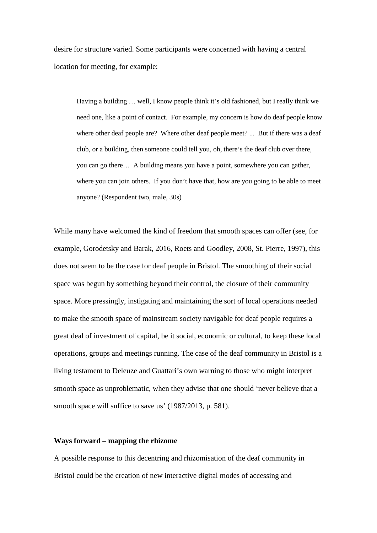desire for structure varied. Some participants were concerned with having a central location for meeting, for example:

Having a building … well, I know people think it's old fashioned, but I really think we need one, like a point of contact. For example, my concern is how do deaf people know where other deaf people are? Where other deaf people meet? ... But if there was a deaf club, or a building, then someone could tell you, oh, there's the deaf club over there, you can go there… A building means you have a point, somewhere you can gather, where you can join others. If you don't have that, how are you going to be able to meet anyone? (Respondent two, male, 30s)

While many have welcomed the kind of freedom that smooth spaces can offer (see, for example, Gorodetsky and Barak, 2016, Roets and Goodley, 2008, St. Pierre, 1997), this does not seem to be the case for deaf people in Bristol. The smoothing of their social space was begun by something beyond their control, the closure of their community space. More pressingly, instigating and maintaining the sort of local operations needed to make the smooth space of mainstream society navigable for deaf people requires a great deal of investment of capital, be it social, economic or cultural, to keep these local operations, groups and meetings running. The case of the deaf community in Bristol is a living testament to Deleuze and Guattari's own warning to those who might interpret smooth space as unproblematic, when they advise that one should 'never believe that a smooth space will suffice to save us' (1987/2013, p. 581).

#### **Ways forward – mapping the rhizome**

A possible response to this decentring and rhizomisation of the deaf community in Bristol could be the creation of new interactive digital modes of accessing and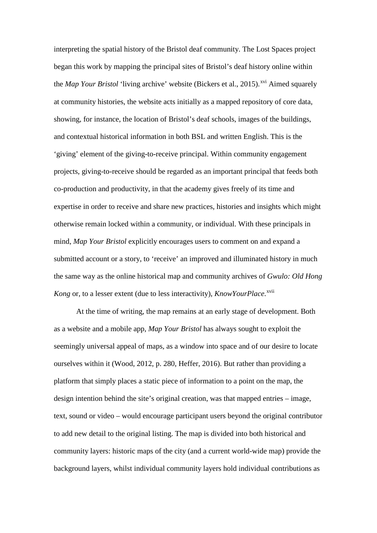interpreting the spatial history of the Bristol deaf community. The Lost Spaces project began this work by mapping the principal sites of Bristol's deaf history online within the *Map Your Bristol* 'living archive' website (Bickers et al., 2015).<sup>[xvi](#page-38-11)</sup> Aimed squarely at community histories, the website acts initially as a mapped repository of core data, showing, for instance, the location of Bristol's deaf schools, images of the buildings, and contextual historical information in both BSL and written English. This is the 'giving' element of the giving-to-receive principal. Within community engagement projects, giving-to-receive should be regarded as an important principal that feeds both co-production and productivity, in that the academy gives freely of its time and expertise in order to receive and share new practices, histories and insights which might otherwise remain locked within a community, or individual. With these principals in mind, *Map Your Bristol* explicitly encourages users to comment on and expand a submitted account or a story, to 'receive' an improved and illuminated history in much the same way as the online historical map and community archives of *Gwulo: Old Hong*  Kong or, to a lesser extent (due to less interactivity), *KnowYourPlace*.<sup>[xvii](#page-38-12)</sup>

At the time of writing, the map remains at an early stage of development. Both as a website and a mobile app, *Map Your Bristol* has always sought to exploit the seemingly universal appeal of maps, as a window into space and of our desire to locate ourselves within it (Wood, 2012, p. 280, Heffer, 2016). But rather than providing a platform that simply places a static piece of information to a point on the map, the design intention behind the site's original creation, was that mapped entries – image, text, sound or video – would encourage participant users beyond the original contributor to add new detail to the original listing. The map is divided into both historical and community layers: historic maps of the city (and a current world-wide map) provide the background layers, whilst individual community layers hold individual contributions as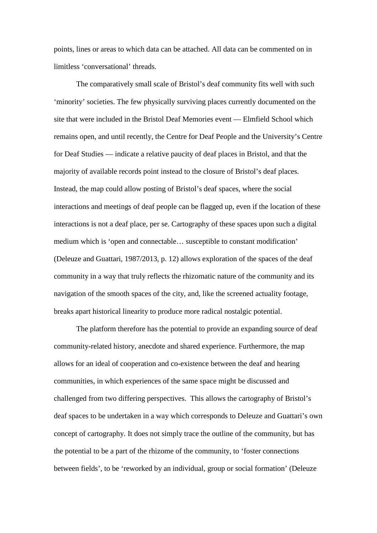points, lines or areas to which data can be attached. All data can be commented on in limitless 'conversational' threads.

The comparatively small scale of Bristol's deaf community fits well with such 'minority' societies. The few physically surviving places currently documented on the site that were included in the Bristol Deaf Memories event — Elmfield School which remains open, and until recently, the Centre for Deaf People and the University's Centre for Deaf Studies — indicate a relative paucity of deaf places in Bristol, and that the majority of available records point instead to the closure of Bristol's deaf places. Instead, the map could allow posting of Bristol's deaf spaces, where the social interactions and meetings of deaf people can be flagged up, even if the location of these interactions is not a deaf place, per se. Cartography of these spaces upon such a digital medium which is 'open and connectable… susceptible to constant modification' (Deleuze and Guattari, 1987/2013, p. 12) allows exploration of the spaces of the deaf community in a way that truly reflects the rhizomatic nature of the community and its navigation of the smooth spaces of the city, and, like the screened actuality footage, breaks apart historical linearity to produce more radical nostalgic potential.

The platform therefore has the potential to provide an expanding source of deaf community-related history, anecdote and shared experience. Furthermore, the map allows for an ideal of cooperation and co-existence between the deaf and hearing communities, in which experiences of the same space might be discussed and challenged from two differing perspectives. This allows the cartography of Bristol's deaf spaces to be undertaken in a way which corresponds to Deleuze and Guattari's own concept of cartography. It does not simply trace the outline of the community, but has the potential to be a part of the rhizome of the community, to 'foster connections between fields', to be 'reworked by an individual, group or social formation' (Deleuze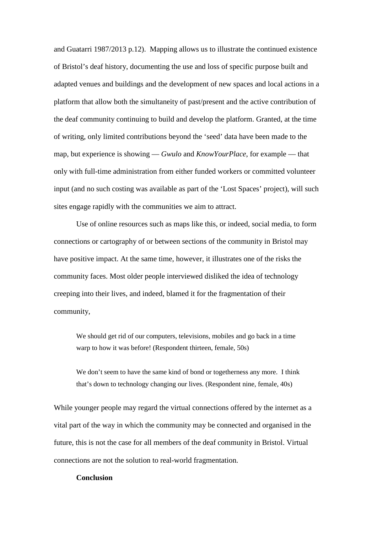and Guatarri 1987/2013 p.12). Mapping allows us to illustrate the continued existence of Bristol's deaf history, documenting the use and loss of specific purpose built and adapted venues and buildings and the development of new spaces and local actions in a platform that allow both the simultaneity of past/present and the active contribution of the deaf community continuing to build and develop the platform. Granted, at the time of writing, only limited contributions beyond the 'seed' data have been made to the map, but experience is showing — *Gwulo* and *KnowYourPlace*, for example — that only with full-time administration from either funded workers or committed volunteer input (and no such costing was available as part of the 'Lost Spaces' project), will such sites engage rapidly with the communities we aim to attract.

Use of online resources such as maps like this, or indeed, social media, to form connections or cartography of or between sections of the community in Bristol may have positive impact. At the same time, however, it illustrates one of the risks the community faces. Most older people interviewed disliked the idea of technology creeping into their lives, and indeed, blamed it for the fragmentation of their community,

We should get rid of our computers, televisions, mobiles and go back in a time warp to how it was before! (Respondent thirteen, female, 50s)

We don't seem to have the same kind of bond or togetherness any more. I think that's down to technology changing our lives. (Respondent nine, female, 40s)

While younger people may regard the virtual connections offered by the internet as a vital part of the way in which the community may be connected and organised in the future, this is not the case for all members of the deaf community in Bristol. Virtual connections are not the solution to real-world fragmentation.

#### **Conclusion**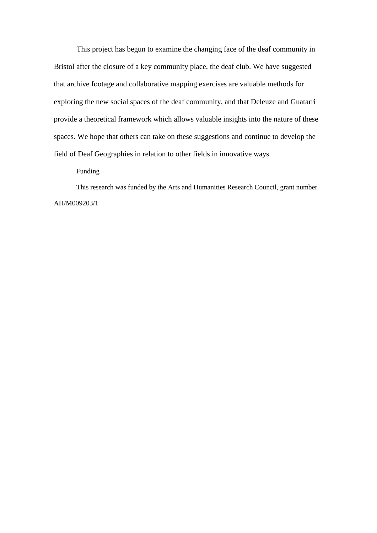This project has begun to examine the changing face of the deaf community in Bristol after the closure of a key community place, the deaf club. We have suggested that archive footage and collaborative mapping exercises are valuable methods for exploring the new social spaces of the deaf community, and that Deleuze and Guatarri provide a theoretical framework which allows valuable insights into the nature of these spaces. We hope that others can take on these suggestions and continue to develop the field of Deaf Geographies in relation to other fields in innovative ways.

Funding

This research was funded by the Arts and Humanities Research Council, grant number AH/M009203/1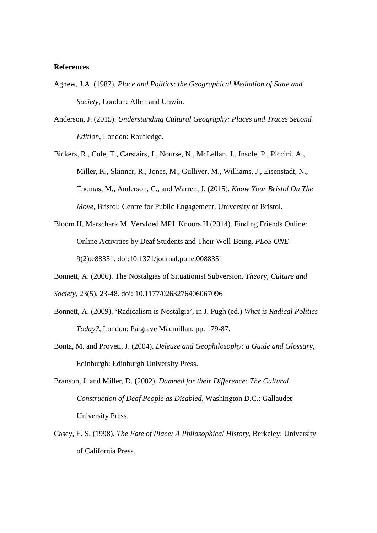#### **References**

- Agnew, J.A. (1987). *Place and Politics: the Geographical Mediation of State and Society*, London: Allen and Unwin.
- Anderson, J. (2015). *Understanding Cultural Geography: Places and Traces Second Edition*, London: Routledge.
- Bickers, R., Cole, T., Carstairs, J., Nourse, N., McLellan, J., Insole, P., Piccini, A., Miller, K., Skinner, R., Jones, M., Gulliver, M., Williams, J., Eisenstadt, N., Thomas, M., Anderson, C., and Warren, J. (2015). *Know Your Bristol On The Move*, Bristol: Centre for Public Engagement, University of Bristol.
- Bloom H, Marschark M, Vervloed MPJ, Knoors H (2014). Finding Friends Online: Online Activities by Deaf Students and Their Well-Being. *PLoS ONE* 9(2):e88351. doi:10.1371/journal.pone.0088351
- Bonnett, A. (2006). The Nostalgias of Situationist Subversion. *Theory, Culture and*
- *Society*, 23(5), 23-48. doi: 10.1177/0263276406067096
- Bonnett, A. (2009). 'Radicalism is Nostalgia', in J. Pugh (ed.) *What is Radical Politics Today?*, London: Palgrave Macmillan, pp. 179-87.
- Bonta, M. and Proveti, J. (2004). *Deleuze and Geophilosophy: a Guide and Glossary*, Edinburgh: Edinburgh University Press.
- Branson, J. and Miller, D. (2002). *Damned for their Difference: The Cultural Construction of Deaf People as Disabled*, Washington D.C.: Gallaudet University Press.
- Casey, E. S. (1998). *The Fate of Place: A Philosophical History*, Berkeley: University of California Press.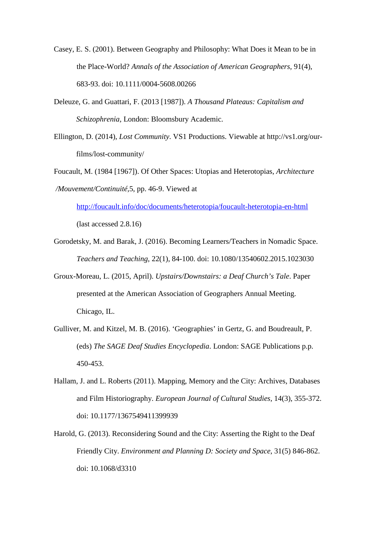Casey, E. S. (2001). Between Geography and Philosophy: What Does it Mean to be in the Place-World? *Annals of the Association of American Geographers,* 91(4), 683-93. doi: 10.1111/0004-5608.00266

- Deleuze, G. and Guattari, F. (2013 [1987]). *A Thousand Plateaus: Capitalism and Schizophrenia,* London: Bloomsbury Academic.
- Ellington, D. (2014), *Lost Community*. VS1 Productions. Viewable at http://vs1.org/ourfilms/lost-community/
- Foucault, M. (1984 [1967]). Of Other Spaces: Utopias and Heterotopias, *Architecture /Mouvement/Continuité,*5, pp. 46-9. Viewed at

<http://foucault.info/doc/documents/heterotopia/foucault-heterotopia-en-html> (last accessed 2.8.16)

- Gorodetsky, M. and Barak, J. (2016). Becoming Learners/Teachers in Nomadic Space. *Teachers and Teaching*, 22(1), 84-100. doi: 10.1080/13540602.2015.1023030
- Groux-Moreau, L. (2015, April). *Upstairs/Downstairs: a Deaf Church's Tale*. Paper presented at the American Association of Geographers Annual Meeting. Chicago, IL.
- Gulliver, M. and Kitzel, M. B. (2016). 'Geographies' in Gertz, G. and Boudreault, P. (eds) *The SAGE Deaf Studies Encyclopedia*. London: SAGE Publications p.p. 450-453.
- Hallam, J. and L. Roberts (2011). Mapping, Memory and the City: Archives, Databases and Film Historiography. *European Journal of Cultural Studies,* 14(3), 355-372. doi: 10.1177/1367549411399939
- Harold, G. (2013). Reconsidering Sound and the City: Asserting the Right to the Deaf Friendly City. *Environment and Planning D: Society and Space*, 31(5) 846-862. doi: 10.1068/d3310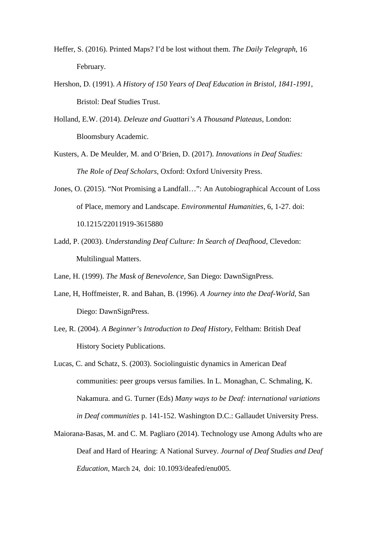- Heffer, S. (2016). Printed Maps? I'd be lost without them. *The Daily Telegraph*, 16 February.
- Hershon, D. (1991). *A History of 150 Years of Deaf Education in Bristol, 1841-1991*, Bristol: Deaf Studies Trust.

Holland, E.W. (2014). *Deleuze and Guattari's A Thousand Plateaus*, London: Bloomsbury Academic.

- Kusters, A. De Meulder, M. and O'Brien, D. (2017). *Innovations in Deaf Studies: The Role of Deaf Scholars*, Oxford: Oxford University Press.
- Jones, O. (2015). "Not Promising a Landfall…": An Autobiographical Account of Loss of Place, memory and Landscape. *Environmental Humanities*, 6, 1-27. doi: 10.1215/22011919-3615880
- Ladd, P. (2003). *Understanding Deaf Culture: In Search of Deafhood*, Clevedon: Multilingual Matters.

Lane, H. (1999). *The Mask of Benevolence*, San Diego: DawnSignPress.

- Lane, H, Hoffmeister, R. and Bahan, B. (1996). *A Journey into the Deaf-World,* San Diego: DawnSignPress.
- Lee, R. (2004). *A Beginner's Introduction to Deaf History*, Feltham: British Deaf History Society Publications.
- Lucas, C. and Schatz, S. (2003). Sociolinguistic dynamics in American Deaf communities: peer groups versus families. In L. Monaghan, C. Schmaling, K. Nakamura. and G. Turner (Eds) *Many ways to be Deaf: international variations in Deaf communities* p. 141-152. Washington D.C.: Gallaudet University Press.
- Maiorana-Basas, M. and C. M. Pagliaro (2014). Technology use Among Adults who are Deaf and Hard of Hearing: A National Survey. *Journal of Deaf Studies and Deaf Education,* March 24, doi: 10.1093/deafed/enu005.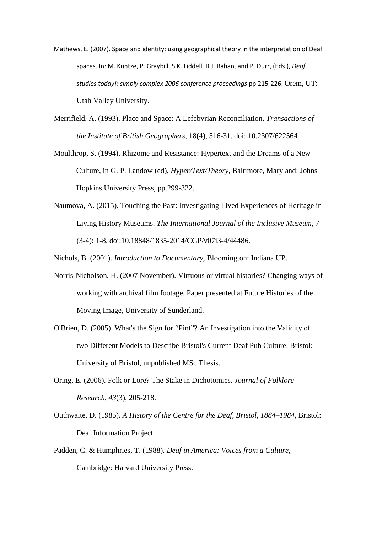- Mathews, E. (2007). Space and identity: using geographical theory in the interpretation of Deaf spaces. In: M. Kuntze, P. Graybill, S.K. Liddell, B.J. Bahan, and P. Durr, (Eds.), *Deaf studies today!: simply complex 2006 conference proceedings* pp.215-226. Orem, UT: Utah Valley University.
- Merrifield, A. (1993). Place and Space: A Lefebvrian Reconciliation. *Transactions of the Institute of British Geographers*, 18(4), 516-31. doi: 10.2307/622564
- Moulthrop, S. (1994). Rhizome and Resistance: Hypertext and the Dreams of a New Culture, in G. P. Landow (ed), *Hyper/Text/Theory*, Baltimore, Maryland: Johns Hopkins University Press, pp.299-322.
- Naumova, A. (2015). Touching the Past: Investigating Lived Experiences of Heritage in Living History Museums. *The International Journal of the Inclusive Museum*, 7 (3-4): 1-8. doi:10.18848/1835-2014/CGP/v07i3-4/44486.

Nichols, B. (2001). *Introduction to Documentary*, Bloomington: Indiana UP.

- Norris-Nicholson, H. (2007 November). Virtuous or virtual histories? Changing ways of working with archival film footage. Paper presented at Future Histories of the Moving Image, University of Sunderland.
- O'Brien, D. (2005). What's the Sign for "Pint"? An Investigation into the Validity of two Different Models to Describe Bristol's Current Deaf Pub Culture. Bristol: University of Bristol, unpublished MSc Thesis.
- Oring, E. (2006). Folk or Lore? The Stake in Dichotomies. *Journal of Folklore Research*, *43*(3), 205-218.
- Outhwaite, D. (1985). *A History of the Centre for the Deaf, Bristol, 1884–1984,* Bristol: Deaf Information Project.
- Padden, C. & Humphries, T. (1988). *Deaf in America: Voices from a Culture*, Cambridge: Harvard University Press.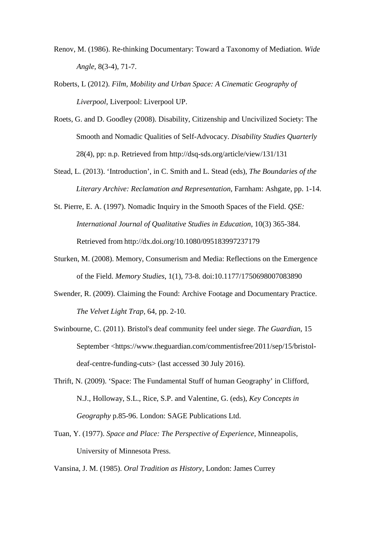- Renov, M. (1986). Re-thinking Documentary: Toward a Taxonomy of Mediation. *Wide Angle,* 8(3-4), 71-7.
- Roberts, L (2012). *Film, Mobility and Urban Space: A Cinematic Geography of Liverpool*, Liverpool: Liverpool UP.
- Roets, G. and D. Goodley (2008). Disability, Citizenship and Uncivilized Society: The Smooth and Nomadic Qualities of Self-Advocacy. *Disability Studies Quarterly* 28(4), pp: n.p. Retrieved from http://dsq-sds.org/article/view/131/131
- Stead, L. (2013). 'Introduction', in C. Smith and L. Stead (eds), *The Boundaries of the Literary Archive: Reclamation and Representation*, Farnham: Ashgate, pp. 1-14.
- St. Pierre, E. A. (1997). Nomadic Inquiry in the Smooth Spaces of the Field. *QSE: International Journal of Qualitative Studies in Education*, 10(3) 365-384. Retrieved from http://dx.doi.org/10.1080/095183997237179
- Sturken, M. (2008). Memory, Consumerism and Media: Reflections on the Emergence of the Field. *Memory Studies*, 1(1), 73-8. doi:10.1177/1750698007083890
- Swender, R. (2009). Claiming the Found: Archive Footage and Documentary Practice. *The Velvet Light Trap,* 64, pp. 2-10.
- Swinbourne, C. (2011). Bristol's deaf community feel under siege. *The Guardian,* 15 September <https://www.theguardian.com/commentisfree/2011/sep/15/bristoldeaf-centre-funding-cuts> (last accessed 30 July 2016).
- Thrift, N. (2009). 'Space: The Fundamental Stuff of human Geography' in Clifford, N.J., Holloway, S.L., Rice, S.P. and Valentine, G. (eds), *Key Concepts in Geography* p.85-96. London: SAGE Publications Ltd.
- Tuan, Y. (1977). *Space and Place: The Perspective of Experience*, Minneapolis, University of Minnesota Press.
- Vansina, J. M. (1985). *Oral Tradition as History*, London: James Currey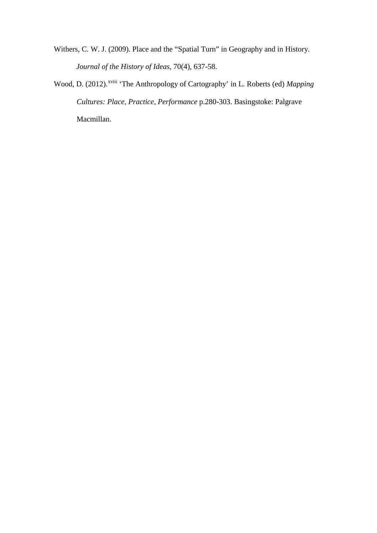- Withers, C. W. J. (2009). Place and the "Spatial Turn" in Geography and in History. *Journal of the History of Ideas,* 70(4), 637-58.
- Wood, D. (2012).<sup>xv[i](#page-38-13)ii</sup> 'The Anthropology of Cartography' in L. Roberts (ed) *Mapping Cultures: Place, Practice, Performance* p.280-303. Basingstoke: Palgrave Macmillan.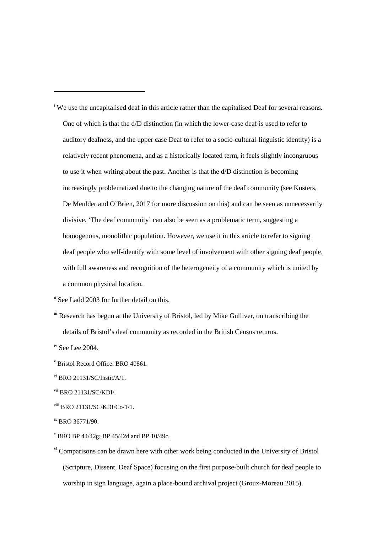<span id="page-37-0"></span><sup>i</sup> We use the uncapitalised deaf in this article rather than the capitalised Deaf for several reasons. One of which is that the d/D distinction (in which the lower-case deaf is used to refer to auditory deafness, and the upper case Deaf to refer to a socio-cultural-linguistic identity) is a relatively recent phenomena, and as a historically located term, it feels slightly incongruous to use it when writing about the past. Another is that the d/D distinction is becoming increasingly problematized due to the changing nature of the deaf community (see Kusters, De Meulder and O'Brien, 2017 for more discussion on this) and can be seen as unnecessarily divisive. 'The deaf community' can also be seen as a problematic term, suggesting a homogenous, monolithic population. However, we use it in this article to refer to signing deaf people who self-identify with some level of involvement with other signing deaf people, with full awareness and recognition of the heterogeneity of a community which is united by a common physical location.

<span id="page-37-2"></span><sup>iii</sup> Research has begun at the University of Bristol, led by Mike Gulliver, on transcribing the details of Bristol's deaf community as recorded in the British Census returns.

<span id="page-37-3"></span> $\frac{1}{10}$  See Lee 2004.

 $\overline{a}$ 

- $X$  BRO BP 44/42g; BP 45/42d and BP 10/49c.
- <sup>xi</sup> Comparisons can be drawn here with other work being conducted in the University of Bristol (Scripture, Dissent, Deaf Space) focusing on the first purpose-built church for deaf people to worship in sign language, again a place-bound archival project (Groux-Moreau 2015).

<span id="page-37-1"></span>ii See Ladd 2003 for further detail on this.

<sup>v</sup> Bristol Record Office: BRO 40861.

vi BRO 21131/SC/Instit/A/1.

vii BRO 21131/SC/KDI/.

viii BRO 21131/SC/KDI/Co/1/1.

ix BRO 36771/90.